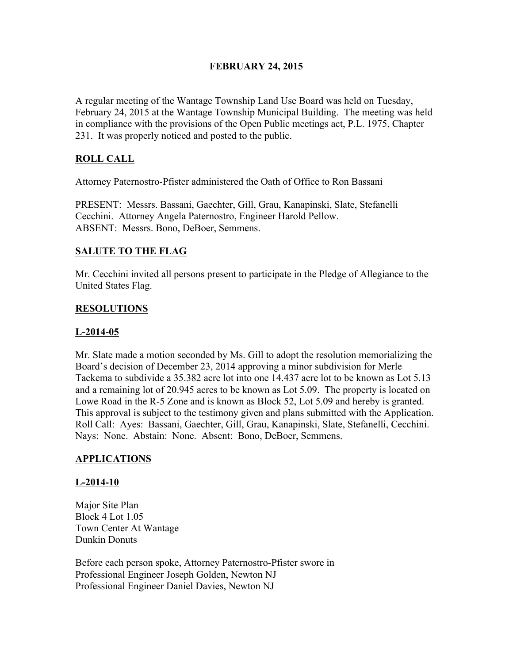## FEBRUARY 24, 2015

A regular meeting of the Wantage Township Land Use Board was held on Tuesday, February 24, 2015 at the Wantage Township Municipal Building. The meeting was held in compliance with the provisions of the Open Public meetings act, P.L. 1975, Chapter 231. It was properly noticed and posted to the public.

# ROLL CALL

Attorney Paternostro-Pfister administered the Oath of Office to Ron Bassani

PRESENT: Messrs. Bassani, Gaechter, Gill, Grau, Kanapinski, Slate, Stefanelli Cecchini. Attorney Angela Paternostro, Engineer Harold Pellow. ABSENT: Messrs. Bono, DeBoer, Semmens.

### SALUTE TO THE FLAG

Mr. Cecchini invited all persons present to participate in the Pledge of Allegiance to the United States Flag.

### RESOLUTIONS

#### L-2014-05

Mr. Slate made a motion seconded by Ms. Gill to adopt the resolution memorializing the Board's decision of December 23, 2014 approving a minor subdivision for Merle Tackema to subdivide a 35.382 acre lot into one 14.437 acre lot to be known as Lot 5.13 and a remaining lot of 20.945 acres to be known as Lot 5.09. The property is located on Lowe Road in the R-5 Zone and is known as Block 52, Lot 5.09 and hereby is granted. This approval is subject to the testimony given and plans submitted with the Application. Roll Call: Ayes: Bassani, Gaechter, Gill, Grau, Kanapinski, Slate, Stefanelli, Cecchini. Nays: None. Abstain: None. Absent: Bono, DeBoer, Semmens.

#### APPLICATIONS

#### L-2014-10

Major Site Plan Block 4 Lot 1.05 Town Center At Wantage Dunkin Donuts

Before each person spoke, Attorney Paternostro-Pfister swore in Professional Engineer Joseph Golden, Newton NJ Professional Engineer Daniel Davies, Newton NJ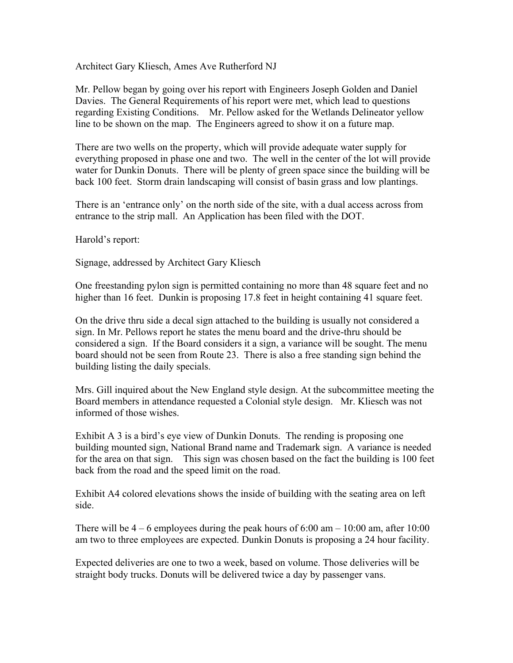Architect Gary Kliesch, Ames Ave Rutherford NJ

Mr. Pellow began by going over his report with Engineers Joseph Golden and Daniel Davies. The General Requirements of his report were met, which lead to questions regarding Existing Conditions. Mr. Pellow asked for the Wetlands Delineator yellow line to be shown on the map. The Engineers agreed to show it on a future map.

There are two wells on the property, which will provide adequate water supply for everything proposed in phase one and two. The well in the center of the lot will provide water for Dunkin Donuts. There will be plenty of green space since the building will be back 100 feet. Storm drain landscaping will consist of basin grass and low plantings.

There is an 'entrance only' on the north side of the site, with a dual access across from entrance to the strip mall. An Application has been filed with the DOT.

Harold's report:

Signage, addressed by Architect Gary Kliesch

One freestanding pylon sign is permitted containing no more than 48 square feet and no higher than 16 feet. Dunkin is proposing 17.8 feet in height containing 41 square feet.

On the drive thru side a decal sign attached to the building is usually not considered a sign. In Mr. Pellows report he states the menu board and the drive-thru should be considered a sign. If the Board considers it a sign, a variance will be sought. The menu board should not be seen from Route 23. There is also a free standing sign behind the building listing the daily specials.

Mrs. Gill inquired about the New England style design. At the subcommittee meeting the Board members in attendance requested a Colonial style design. Mr. Kliesch was not informed of those wishes.

Exhibit A 3 is a bird's eye view of Dunkin Donuts. The rending is proposing one building mounted sign, National Brand name and Trademark sign. A variance is needed for the area on that sign. This sign was chosen based on the fact the building is 100 feet back from the road and the speed limit on the road.

Exhibit A4 colored elevations shows the inside of building with the seating area on left side.

There will be  $4 - 6$  employees during the peak hours of 6:00 am  $- 10:00$  am, after 10:00 am two to three employees are expected. Dunkin Donuts is proposing a 24 hour facility.

Expected deliveries are one to two a week, based on volume. Those deliveries will be straight body trucks. Donuts will be delivered twice a day by passenger vans.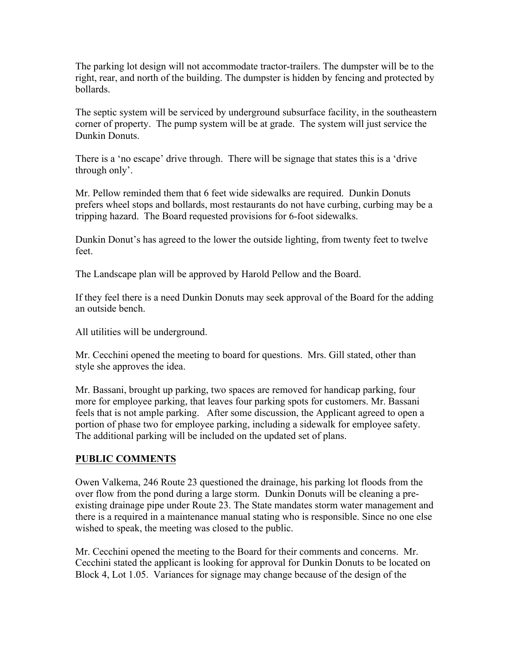The parking lot design will not accommodate tractor-trailers. The dumpster will be to the right, rear, and north of the building. The dumpster is hidden by fencing and protected by bollards.

The septic system will be serviced by underground subsurface facility, in the southeastern corner of property. The pump system will be at grade. The system will just service the Dunkin Donuts.

There is a 'no escape' drive through. There will be signage that states this is a 'drive through only'.

Mr. Pellow reminded them that 6 feet wide sidewalks are required. Dunkin Donuts prefers wheel stops and bollards, most restaurants do not have curbing, curbing may be a tripping hazard. The Board requested provisions for 6-foot sidewalks.

Dunkin Donut's has agreed to the lower the outside lighting, from twenty feet to twelve feet.

The Landscape plan will be approved by Harold Pellow and the Board.

If they feel there is a need Dunkin Donuts may seek approval of the Board for the adding an outside bench.

All utilities will be underground.

Mr. Cecchini opened the meeting to board for questions. Mrs. Gill stated, other than style she approves the idea.

Mr. Bassani, brought up parking, two spaces are removed for handicap parking, four more for employee parking, that leaves four parking spots for customers. Mr. Bassani feels that is not ample parking. After some discussion, the Applicant agreed to open a portion of phase two for employee parking, including a sidewalk for employee safety. The additional parking will be included on the updated set of plans.

## PUBLIC COMMENTS

Owen Valkema, 246 Route 23 questioned the drainage, his parking lot floods from the over flow from the pond during a large storm. Dunkin Donuts will be cleaning a preexisting drainage pipe under Route 23. The State mandates storm water management and there is a required in a maintenance manual stating who is responsible. Since no one else wished to speak, the meeting was closed to the public.

Mr. Cecchini opened the meeting to the Board for their comments and concerns. Mr. Cecchini stated the applicant is looking for approval for Dunkin Donuts to be located on Block 4, Lot 1.05. Variances for signage may change because of the design of the